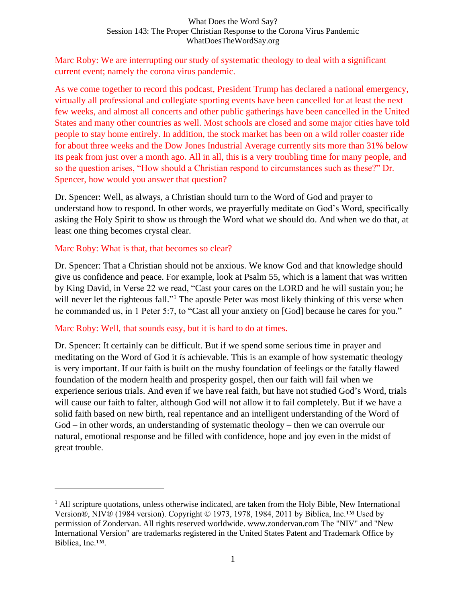#### What Does the Word Say? Session 143: The Proper Christian Response to the Corona Virus Pandemic WhatDoesTheWordSay.org

Marc Roby: We are interrupting our study of systematic theology to deal with a significant current event; namely the corona virus pandemic.

As we come together to record this podcast, President Trump has declared a national emergency, virtually all professional and collegiate sporting events have been cancelled for at least the next few weeks, and almost all concerts and other public gatherings have been cancelled in the United States and many other countries as well. Most schools are closed and some major cities have told people to stay home entirely. In addition, the stock market has been on a wild roller coaster ride for about three weeks and the Dow Jones Industrial Average currently sits more than 31% below its peak from just over a month ago. All in all, this is a very troubling time for many people, and so the question arises, "How should a Christian respond to circumstances such as these?" Dr. Spencer, how would you answer that question?

Dr. Spencer: Well, as always, a Christian should turn to the Word of God and prayer to understand how to respond. In other words, we prayerfully meditate on God's Word, specifically asking the Holy Spirit to show us through the Word what we should do. And when we do that, at least one thing becomes crystal clear.

### Marc Roby: What is that, that becomes so clear?

Dr. Spencer: That a Christian should not be anxious. We know God and that knowledge should give us confidence and peace. For example, look at Psalm 55, which is a lament that was written by King David, in Verse 22 we read, "Cast your cares on the LORD and he will sustain you; he will never let the righteous fall."<sup>1</sup> The apostle Peter was most likely thinking of this verse when he commanded us, in 1 Peter 5:7, to "Cast all your anxiety on [God] because he cares for you."

#### Marc Roby: Well, that sounds easy, but it is hard to do at times.

Dr. Spencer: It certainly can be difficult. But if we spend some serious time in prayer and meditating on the Word of God it *is* achievable. This is an example of how systematic theology is very important. If our faith is built on the mushy foundation of feelings or the fatally flawed foundation of the modern health and prosperity gospel, then our faith will fail when we experience serious trials. And even if we have real faith, but have not studied God's Word, trials will cause our faith to falter, although God will not allow it to fail completely. But if we have a solid faith based on new birth, real repentance and an intelligent understanding of the Word of God – in other words, an understanding of systematic theology – then we can overrule our natural, emotional response and be filled with confidence, hope and joy even in the midst of great trouble.

 $<sup>1</sup>$  All scripture quotations, unless otherwise indicated, are taken from the Holy Bible, New International</sup> Version®, NIV® (1984 version). Copyright © 1973, 1978, 1984, 2011 by Biblica, Inc.™ Used by permission of Zondervan. All rights reserved worldwide. www.zondervan.com The "NIV" and "New International Version" are trademarks registered in the United States Patent and Trademark Office by Biblica, Inc.™.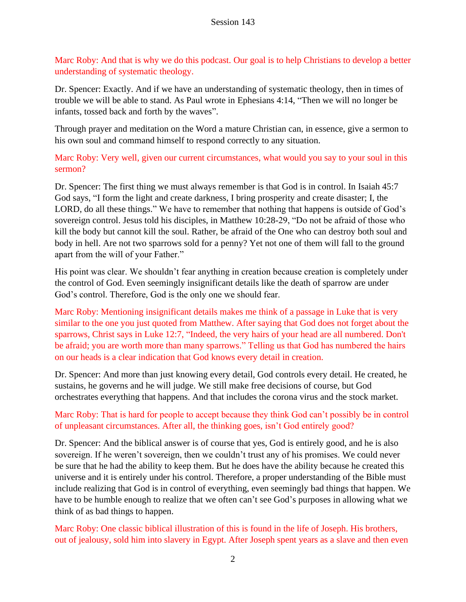Marc Roby: And that is why we do this podcast. Our goal is to help Christians to develop a better understanding of systematic theology.

Dr. Spencer: Exactly. And if we have an understanding of systematic theology, then in times of trouble we will be able to stand. As Paul wrote in Ephesians 4:14, "Then we will no longer be infants, tossed back and forth by the waves".

Through prayer and meditation on the Word a mature Christian can, in essence, give a sermon to his own soul and command himself to respond correctly to any situation.

Marc Roby: Very well, given our current circumstances, what would you say to your soul in this sermon?

Dr. Spencer: The first thing we must always remember is that God is in control. In Isaiah 45:7 God says, "I form the light and create darkness, I bring prosperity and create disaster; I, the LORD, do all these things." We have to remember that nothing that happens is outside of God's sovereign control. Jesus told his disciples, in Matthew 10:28-29, "Do not be afraid of those who kill the body but cannot kill the soul. Rather, be afraid of the One who can destroy both soul and body in hell. Are not two sparrows sold for a penny? Yet not one of them will fall to the ground apart from the will of your Father."

His point was clear. We shouldn't fear anything in creation because creation is completely under the control of God. Even seemingly insignificant details like the death of sparrow are under God's control. Therefore, God is the only one we should fear.

Marc Roby: Mentioning insignificant details makes me think of a passage in Luke that is very similar to the one you just quoted from Matthew. After saying that God does not forget about the sparrows, Christ says in Luke 12:7, "Indeed, the very hairs of your head are all numbered. Don't be afraid; you are worth more than many sparrows." Telling us that God has numbered the hairs on our heads is a clear indication that God knows every detail in creation.

Dr. Spencer: And more than just knowing every detail, God controls every detail. He created, he sustains, he governs and he will judge. We still make free decisions of course, but God orchestrates everything that happens. And that includes the corona virus and the stock market.

# Marc Roby: That is hard for people to accept because they think God can't possibly be in control of unpleasant circumstances. After all, the thinking goes, isn't God entirely good?

Dr. Spencer: And the biblical answer is of course that yes, God is entirely good, and he is also sovereign. If he weren't sovereign, then we couldn't trust any of his promises. We could never be sure that he had the ability to keep them. But he does have the ability because he created this universe and it is entirely under his control. Therefore, a proper understanding of the Bible must include realizing that God is in control of everything, even seemingly bad things that happen. We have to be humble enough to realize that we often can't see God's purposes in allowing what we think of as bad things to happen.

Marc Roby: One classic biblical illustration of this is found in the life of Joseph. His brothers, out of jealousy, sold him into slavery in Egypt. After Joseph spent years as a slave and then even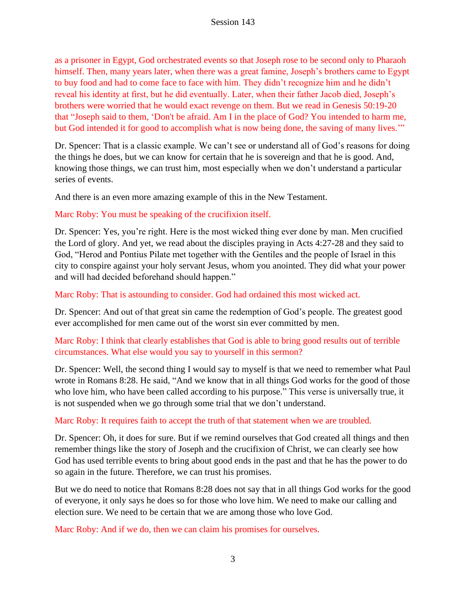as a prisoner in Egypt, God orchestrated events so that Joseph rose to be second only to Pharaoh himself. Then, many years later, when there was a great famine, Joseph's brothers came to Egypt to buy food and had to come face to face with him. They didn't recognize him and he didn't reveal his identity at first, but he did eventually. Later, when their father Jacob died, Joseph's brothers were worried that he would exact revenge on them. But we read in Genesis 50:19-20 that "Joseph said to them, 'Don't be afraid. Am I in the place of God? You intended to harm me, but God intended it for good to accomplish what is now being done, the saving of many lives.'"

Dr. Spencer: That is a classic example. We can't see or understand all of God's reasons for doing the things he does, but we can know for certain that he is sovereign and that he is good. And, knowing those things, we can trust him, most especially when we don't understand a particular series of events.

And there is an even more amazing example of this in the New Testament.

Marc Roby: You must be speaking of the crucifixion itself.

Dr. Spencer: Yes, you're right. Here is the most wicked thing ever done by man. Men crucified the Lord of glory. And yet, we read about the disciples praying in Acts 4:27-28 and they said to God, "Herod and Pontius Pilate met together with the Gentiles and the people of Israel in this city to conspire against your holy servant Jesus, whom you anointed. They did what your power and will had decided beforehand should happen."

Marc Roby: That is astounding to consider. God had ordained this most wicked act.

Dr. Spencer: And out of that great sin came the redemption of God's people. The greatest good ever accomplished for men came out of the worst sin ever committed by men.

Marc Roby: I think that clearly establishes that God is able to bring good results out of terrible circumstances. What else would you say to yourself in this sermon?

Dr. Spencer: Well, the second thing I would say to myself is that we need to remember what Paul wrote in Romans 8:28. He said, "And we know that in all things God works for the good of those who love him, who have been called according to his purpose." This verse is universally true, it is not suspended when we go through some trial that we don't understand.

Marc Roby: It requires faith to accept the truth of that statement when we are troubled.

Dr. Spencer: Oh, it does for sure. But if we remind ourselves that God created all things and then remember things like the story of Joseph and the crucifixion of Christ, we can clearly see how God has used terrible events to bring about good ends in the past and that he has the power to do so again in the future. Therefore, we can trust his promises.

But we do need to notice that Romans 8:28 does not say that in all things God works for the good of everyone, it only says he does so for those who love him. We need to make our calling and election sure. We need to be certain that we are among those who love God.

Marc Roby: And if we do, then we can claim his promises for ourselves.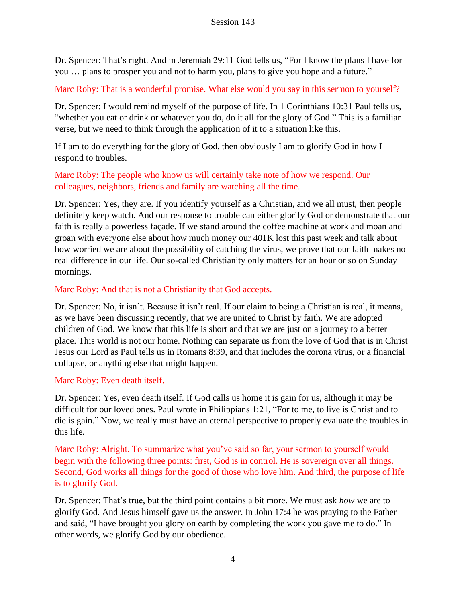Dr. Spencer: That's right. And in Jeremiah 29:11 God tells us, "For I know the plans I have for you … plans to prosper you and not to harm you, plans to give you hope and a future."

Marc Roby: That is a wonderful promise. What else would you say in this sermon to yourself?

Dr. Spencer: I would remind myself of the purpose of life. In 1 Corinthians 10:31 Paul tells us, "whether you eat or drink or whatever you do, do it all for the glory of God." This is a familiar verse, but we need to think through the application of it to a situation like this.

If I am to do everything for the glory of God, then obviously I am to glorify God in how I respond to troubles.

Marc Roby: The people who know us will certainly take note of how we respond. Our colleagues, neighbors, friends and family are watching all the time.

Dr. Spencer: Yes, they are. If you identify yourself as a Christian, and we all must, then people definitely keep watch. And our response to trouble can either glorify God or demonstrate that our faith is really a powerless façade. If we stand around the coffee machine at work and moan and groan with everyone else about how much money our 401K lost this past week and talk about how worried we are about the possibility of catching the virus, we prove that our faith makes no real difference in our life. Our so-called Christianity only matters for an hour or so on Sunday mornings.

### Marc Roby: And that is not a Christianity that God accepts.

Dr. Spencer: No, it isn't. Because it isn't real. If our claim to being a Christian is real, it means, as we have been discussing recently, that we are united to Christ by faith. We are adopted children of God. We know that this life is short and that we are just on a journey to a better place. This world is not our home. Nothing can separate us from the love of God that is in Christ Jesus our Lord as Paul tells us in Romans 8:39, and that includes the corona virus, or a financial collapse, or anything else that might happen.

### Marc Roby: Even death itself.

Dr. Spencer: Yes, even death itself. If God calls us home it is gain for us, although it may be difficult for our loved ones. Paul wrote in Philippians 1:21, "For to me, to live is Christ and to die is gain." Now, we really must have an eternal perspective to properly evaluate the troubles in this life.

Marc Roby: Alright. To summarize what you've said so far, your sermon to yourself would begin with the following three points: first, God is in control. He is sovereign over all things. Second, God works all things for the good of those who love him. And third, the purpose of life is to glorify God.

Dr. Spencer: That's true, but the third point contains a bit more. We must ask *how* we are to glorify God. And Jesus himself gave us the answer. In John 17:4 he was praying to the Father and said, "I have brought you glory on earth by completing the work you gave me to do." In other words, we glorify God by our obedience.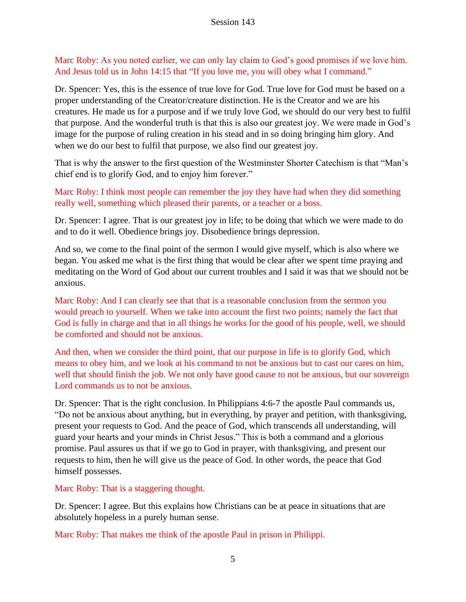Marc Roby: As you noted earlier, we can only lay claim to God's good promises if we love him. And Jesus told us in John 14:15 that "If you love me, you will obey what I command."

Dr. Spencer: Yes, this is the essence of true love for God. True love for God must be based on a proper understanding of the Creator/creature distinction. He is the Creator and we are his creatures. He made us for a purpose and if we truly love God, we should do our very best to fulfil that purpose. And the wonderful truth is that this is also our greatest joy. We were made in God's image for the purpose of ruling creation in his stead and in so doing bringing him glory. And when we do our best to fulfil that purpose, we also find our greatest joy.

That is why the answer to the first question of the Westminster Shorter Catechism is that "Man's chief end is to glorify God, and to enjoy him forever."

Marc Roby: I think most people can remember the joy they have had when they did something really well, something which pleased their parents, or a teacher or a boss.

Dr. Spencer: I agree. That is our greatest joy in life; to be doing that which we were made to do and to do it well. Obedience brings joy. Disobedience brings depression.

And so, we come to the final point of the sermon I would give myself, which is also where we began. You asked me what is the first thing that would be clear after we spent time praying and meditating on the Word of God about our current troubles and I said it was that we should not be anxious.

Marc Roby: And I can clearly see that that is a reasonable conclusion from the sermon you would preach to yourself. When we take into account the first two points; namely the fact that God is fully in charge and that in all things he works for the good of his people, well, we should be comforted and should not be anxious.

And then, when we consider the third point, that our purpose in life is to glorify God, which means to obey him, and we look at his command to not be anxious but to cast our cares on him, well that should finish the job. We not only have good cause to not be anxious, but our sovereign Lord commands us to not be anxious.

Dr. Spencer: That is the right conclusion. In Philippians 4:6-7 the apostle Paul commands us, "Do not be anxious about anything, but in everything, by prayer and petition, with thanksgiving, present your requests to God. And the peace of God, which transcends all understanding, will guard your hearts and your minds in Christ Jesus." This is both a command and a glorious promise. Paul assures us that if we go to God in prayer, with thanksgiving, and present our requests to him, then he will give us the peace of God. In other words, the peace that God himself possesses.

Marc Roby: That is a staggering thought.

Dr. Spencer: I agree. But this explains how Christians can be at peace in situations that are absolutely hopeless in a purely human sense.

Marc Roby: That makes me think of the apostle Paul in prison in Philippi.